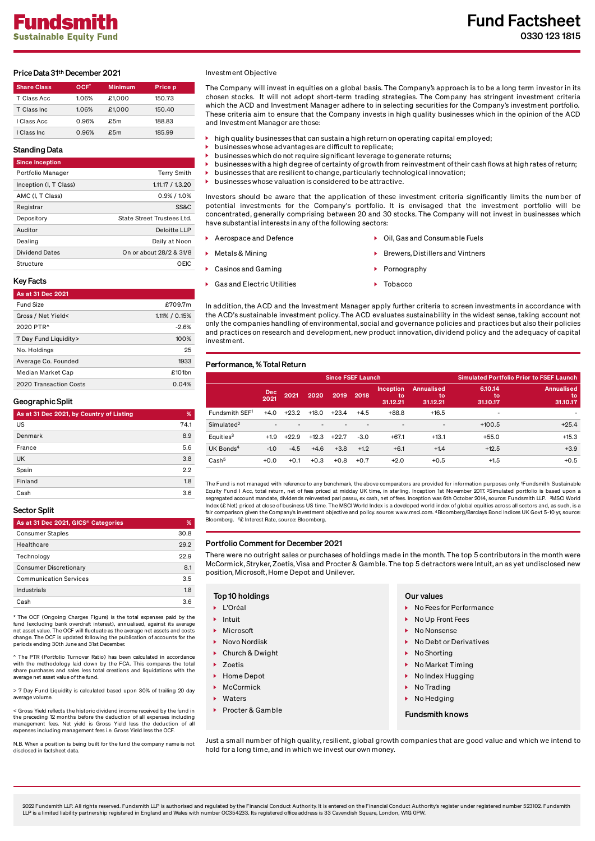# Price Data 31th December 2021

| <b>Share Class</b> | OCF <sup>*</sup> | <b>Minimum</b> | Price p |
|--------------------|------------------|----------------|---------|
| T Class Acc        | 1.06%            | £1.000         | 150.73  |
| T Class Inc.       | 1.06%            | £1.000         | 150.40  |
| I Class Acc        | 0.96%            | f.5m           | 188.83  |
| I Class Inc.       | 0.96%            | £5m            | 185.99  |

# Standing Data

| ------                 |                            |
|------------------------|----------------------------|
| <b>Since Inception</b> |                            |
| Portfolio Manager      | <b>Terry Smith</b>         |
| Inception (I, T Class) | 1.11.17 / 1.3.20           |
| AMC (I. T Class)       | $0.9\%$ / 1.0%             |
| Registrar              | <b>SS&amp;C</b>            |
| Depository             | State Street Trustees Ltd. |
| Auditor                | Deloitte LLP               |
| Dealing                | Daily at Noon              |
| <b>Dividend Dates</b>  | On or about 28/2 & 31/8    |
| Structure              | OEIC                       |

# Key Facts

# As at 31 Dec 2021 Fund Size £709.7m Gross / Net Yield< 1.11% / 0.15% 2020 PTR^ -2.6% 7 Day Fund Liquidity> 100% No. Holdings 25 Average Co. Founded 1933 Median Market Cap £101bn 2020 Transaction Costs 0.04%

#### Geographic Split

| As at 31 Dec 2021, by Country of Listing | %    |
|------------------------------------------|------|
| US                                       | 74.1 |
| Denmark                                  | 8.9  |
| France                                   | 5.6  |
| <b>UK</b>                                | 3.8  |
| Spain                                    | 2.2  |
| Finland                                  | 1.8  |
| Cash                                     | 3.6  |

# Sector Split

| As at 31 Dec 2021, GICS® Categories | %    |
|-------------------------------------|------|
| <b>Consumer Staples</b>             | 30.8 |
| Healthcare                          | 292  |
| Technology                          | 22.9 |
| <b>Consumer Discretionary</b>       | 8.1  |
| <b>Communication Services</b>       | 3.5  |
| Industrials                         | 18   |
| Cash                                | 36   |

\* The OCF (Ongoing Charges Figure) is the total expenses paid by the fund (excluding bank overdraft interest), annualised, against its average net asset value. The OCF will fluctuate as the average net assets and costs change. The OCF is updated following the publication of accounts for the periods ending 30th June and 31st December.

^ The PTR (Portfolio Turnover Ratio) has been calculated in accordance with the methodology laid down by the FCA. This compares the total share purchases and sales less total creations and liquidations with the average net asset value of the fund.

> 7 Day Fund Liquidity is calculated based upon 30% of trailing 20 day average volume

< Gross Yield reflects the historic dividend income received by the fund in the preceding 12 months before the deduction of all expenses including management fees. Net yield is Gross Yield less the deduction of all expenses including management fees i.e. Gross Yield less the OCF.

N.B. When a position is being built for the fund the company name is not disclosed in factsheet data.

#### Investment Objective

The Company will invest in equities on a global basis. The Company's approach is to be a long term investor in its chosen stocks. It will not adopt short-term trading strategies. The Company has stringent investment criteria which the ACD and Investment Manager adhere to in selecting securities for the Company's investment portfolio. These criteria aim to ensure that the Company invests in high quality businesses which in the opinion of the ACD and Investment Manager are those:

- high quality businesses that can sustain a high return on operating capital employed;
	- businesses whose advantages are difficult to replicate;
- businesses which do not require significant leverage to generate returns;
- businesses with a high degree of certainty of growth from reinvestment oftheir cash flows at high rates ofreturn;
- businesses that are resilient to change, particularly technological innovation; businesses whose valuation is considered to be attractive.

Investors should be aware that the application of these investment criteria significantly limits the number of potential investments for the Company's portfolio. It is envisaged that the investment portfolio will be concentrated, generally comprising between 20 and 30 stocks. The Company will not invest in businesses which have substantial interests in any ofthe following sectors:

- Aerospace and Defence **Consumerse Exercise According to Aerospace** and Consumable Fuels
- Metals & Mining Brewers, District and Vintners

investment.

- Casinos and Gaming Pornography
- ▶ Gas and Electric Utilities Tobacco

In addition, the ACD and the Investment Manager apply further criteria to screen investments in accordance with the ACD's sustainable investment policy. The ACD evaluates sustainability in the widest sense, taking account not only the companies handling of environmental, social and governance policies and practices but also their policies and practices on research and development, new product innovation, dividend policy and the adequacy of capital

#### Performance, %Total Return

|                        |                    |         |         | <b>Since FSEF Launch</b> |        | <b>Simulated Portfolio Prior to FSEF Launch</b> |                                     |                           |                                     |
|------------------------|--------------------|---------|---------|--------------------------|--------|-------------------------------------------------|-------------------------------------|---------------------------|-------------------------------------|
|                        | <b>Dec</b><br>2021 | 2021    | 2020    | 2019                     | 2018   | <b>Inception</b><br>to<br>31.12.21              | <b>Annualised</b><br>to<br>31.12.21 | 6.10.14<br>to<br>31.10.17 | <b>Annualised</b><br>to<br>31.10.17 |
| Fundsmith SEF1         | $+4.0$             | $+23.2$ | $+18.0$ | $+23.4$                  | $+4.5$ | $+88.8$                                         | $+16.5$                             | ۰                         | ٠                                   |
| Simulated <sup>2</sup> |                    |         |         |                          | ۰      | $\overline{\phantom{a}}$                        | $\overline{\phantom{a}}$            | $+100.5$                  | $+25.4$                             |
| Equities <sup>3</sup>  | $+1.9$             | $+22.9$ | $+12.3$ | $+22.7$                  | $-3.0$ | $+67.1$                                         | $+13.1$                             | $+55.0$                   | $+15.3$                             |
| UK Bonds <sup>4</sup>  | $-1.0$             | $-4.5$  | $+4.6$  | $+3.8$                   | $+1.2$ | $+6.1$                                          | $+1.4$                              | $+12.5$                   | $+3.9$                              |
| Cash <sup>5</sup>      | $+0.0$             | $+0.1$  | $+0.3$  | $+0.8$                   | $+0.7$ | $+2.0$                                          | $+0.5$                              | $+1.5$                    | $+0.5$                              |

The Fund is not managed with reference to any benchmark, the above comparators are provided for information purposes only. 1Fundsmith Sustainable<br>Equity Fund I Acc, total return, net of fees priced at midday UK time, in st segregated account mandate, dividends reinvested pari passu, ex cash, net of fees. Inception was 6th October 2014, source: Fundsmith LLP. MSCI World 3  $\ln \left( \frac{R}{R} \right)$  index (£ Net) priced at close of business US time. The MSCI World Index is a developed world index of global equities across all sectors and, as such, is a fair comparison given the Company's investment objective and policy. source: www.msci.com. 4Bloomberg/Barclays Bond Indices UK Govt 5-10 yr, source: Bloomberg. <sup>5</sup>£ Interest Rate, source: Bloomberg.

#### Portfolio Comment for December 2021

There were no outright sales or purchases of holdings made in the month. The top 5 contributors in the month were McCormick, Stryker, Zoetis, Visa and Procter & Gamble. The top 5 detractors were Intuit, an as yet undisclosed new position, Microsoft, Home Depot and Unilever.

### Top 10 holdings **Our values** Our values

- L'Oréal
- $\blacktriangleright$  Intuit
- Microsoft
- Novo Nordisk
- ▶ Church & Dwight
- **7** Zoetis
- ▶ Home Depot
- **McCormick**
- **Maters**
- ¥. Procter & Gamble

- $\triangleright$  No Fees for Performance
- ▶ No Up Front Fees
- No Nonsense
- ▶ No Debt or Derivatives
- No Shorting
- $\triangleright$  No Market Timing
- $\triangleright$  No Index Hugging
- No Trading
- **No Hedging**

#### Fundsmith knows

Just a small number of high quality, resilient, global growth companies that are good value and which we intend to hold for a long time, and in which we invest our own money.

2022 Fundsmith LLP. All rights reserved. Fundsmith LLP is authorised and regulated by the Financial Conduct Authority. It is entered on the Financial Conduct Authority's register under registered number 523102. Fundsmith LLP is a limited liability partnership registered in England and Wales with number OC354233. Its registered office address is 33 Cavendish Square, London, W1G 0PW.